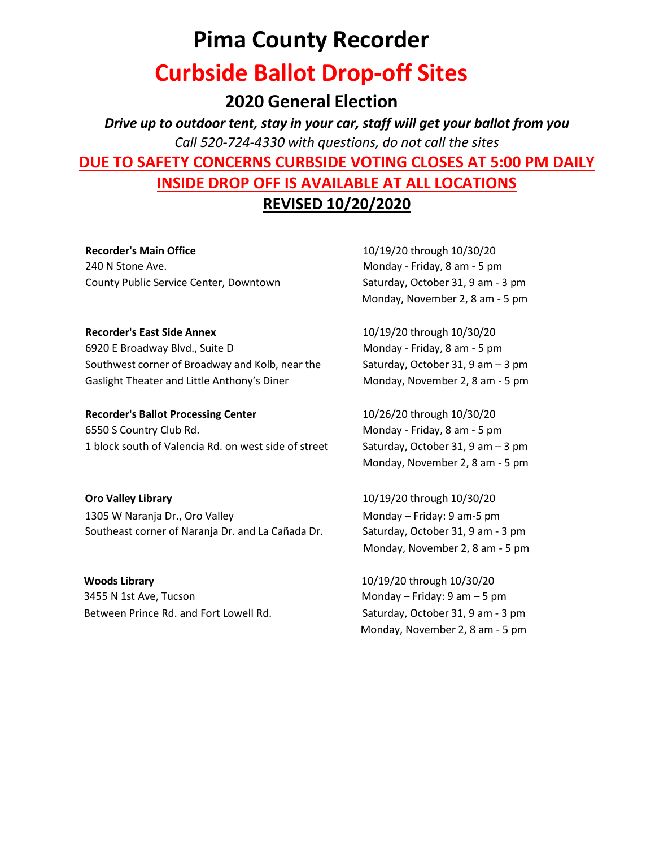# **Pima County Recorder Curbside Ballot Drop-off Sites**

#### **2020 General Election**

*Drive up to outdoor tent, stay in your car, staff will get your ballot from you Call 520-724-4330 with questions, do not call the sites* **DUE TO SAFETY CONCERNS CURBSIDE VOTING CLOSES AT 5:00 PM DAILY INSIDE DROP OFF IS AVAILABLE AT ALL LOCATIONS REVISED 10/20/2020**

**Recorder's Main Office** 10/19/20 through 10/30/20 240 N Stone Ave. Monday - Friday, 8 am - 5 pm County Public Service Center, Downtown Saturday, October 31, 9 am - 3 pm

Monday, November 2, 8 am - 5 pm

**Recorder's East Side Annex** 10/19/20 through 10/30/20 6920 E Broadway Blvd., Suite D Monday - Friday, 8 am - 5 pm Southwest corner of Broadway and Kolb, near the Saturday, October 31, 9 am - 3 pm Gaslight Theater and Little Anthony's Diner Monday, November 2, 8 am - 5 pm

**Recorder's Ballot Processing Center** 10/26/20 through 10/30/20 6550 S Country Club Rd. Monday - Friday, 8 am - 5 pm 1 block south of Valencia Rd. on west side of street Saturday, October 31, 9 am – 3 pm

**Oro Valley Library** 10/19/20 through 10/30/20 1305 W Naranja Dr., Oro Valley **Music Life Contract Contract Contract** Monday – Friday: 9 am-5 pm Southeast corner of Naranja Dr. and La Cañada Dr. Saturday, October 31, 9 am - 3 pm

**Woods Library** 10/19/20 through 10/30/20 3455 N 1st Ave, Tucson **Monday – Friday: 9 am – 5 pm** Between Prince Rd. and Fort Lowell Rd. Saturday, October 31, 9 am - 3 pm

Monday, November 2, 8 am - 5 pm

Monday, November 2, 8 am - 5 pm

Monday, November 2, 8 am - 5 pm